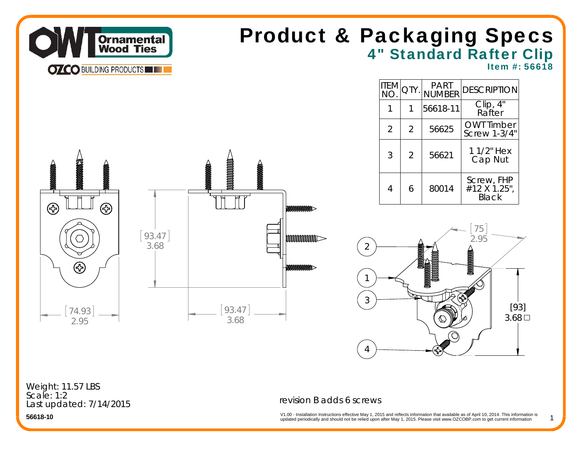

## 4" Standard Rafter Clip Product & Packaging Specs

 $PART$ 

Item #: 56618

[93]  $3.68 \square$ 

1

|                                                                                                                                                                                                                                                                                                                                               |                 |                                                                         |                                                        |                | $\begin{bmatrix} \begin{matrix} \text{ITEM} \\ \text{NO} \end{matrix} \end{bmatrix}$ QTY. | PART<br> NUMBER | <b>DESCRIPTION</b>                  |
|-----------------------------------------------------------------------------------------------------------------------------------------------------------------------------------------------------------------------------------------------------------------------------------------------------------------------------------------------|-----------------|-------------------------------------------------------------------------|--------------------------------------------------------|----------------|-------------------------------------------------------------------------------------------|-----------------|-------------------------------------|
|                                                                                                                                                                                                                                                                                                                                               |                 |                                                                         |                                                        | 1              | 1                                                                                         | 56618-11        | Clip, 4"<br>Rafter                  |
|                                                                                                                                                                                                                                                                                                                                               |                 |                                                                         |                                                        | $\overline{2}$ | $\overline{2}$                                                                            | 56625           | OWT Timber<br>Screw 1-3/4"          |
| 1990年 - 1990年                                                                                                                                                                                                                                                                                                                                 |                 |                                                                         |                                                        | 3              | $\overline{2}$                                                                            | 56621           | 1 1/2" Hex<br>Cap Nut               |
| $\begin{picture}(20,10) \put(0,0){\line(1,0){100}} \put(15,0){\line(1,0){100}} \put(15,0){\line(1,0){100}} \put(15,0){\line(1,0){100}} \put(15,0){\line(1,0){100}} \put(15,0){\line(1,0){100}} \put(15,0){\line(1,0){100}} \put(15,0){\line(1,0){100}} \put(15,0){\line(1,0){100}} \put(15,0){\line(1,0){100}} \put(15,0){\line(1,0){100}} \$ |                 | <b>MANAMANAMANA</b><br><b>ANONDONOMICALLY</b><br><b>MANAMANAMANAMAN</b> |                                                        | 4              | 6                                                                                         | 80014           | Screw, FHP<br>#12 X 1.25",<br>Black |
| ⊛<br>⊛<br>$\hspace{0.1cm} \rightarrow$                                                                                                                                                                                                                                                                                                        | [93.47]<br>3.68 |                                                                         | MAAAAAAAAAAA<br><b>MANAMANANANAN</b><br>$\overline{2}$ |                |                                                                                           |                 | 75<br>2.95                          |
| ⊛                                                                                                                                                                                                                                                                                                                                             |                 |                                                                         | <b>MANAMANANO</b><br>$\mathfrak{Z}$                    |                | ফ                                                                                         |                 | <b>MONOCORRECTE</b>                 |
| 74.93<br>2.95                                                                                                                                                                                                                                                                                                                                 |                 | 93.47<br>3.68                                                           |                                                        |                |                                                                                           | $\bigcirc$      | $[9]$<br>3.68                       |

Last updated: 7/14/2015 Weight: 11.57 LBS Scale: 1:2

### revision B adds 6 screws

4

updated periodically and should not be relied upon after May 1, 2015. Please visit www.OZCOBP.com to get current information V1.00 - Installation Instructions effective May 1, 2015 and reflects information that available as of April 10, 2014. This information is<br>
undated periodically and should not be relied upon after May 1, 2015. Please visit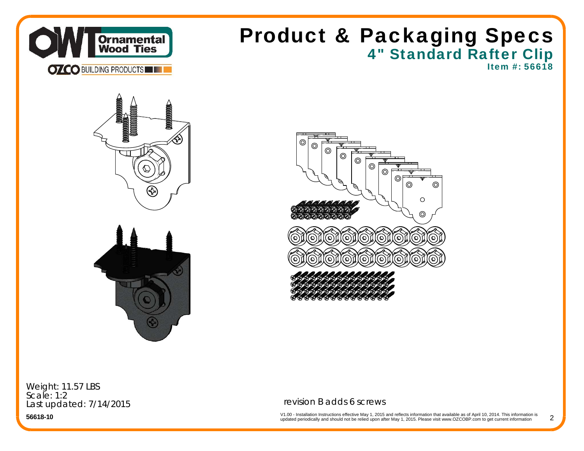

## 4" Standard Rafter Clip Product & Packaging Specs

Item #: 56618







Weight: 11.57 LBS Scale: 1:2Last updated: 7/14/2015

**56618-10**

### revision B adds 6 screws

V1.00 - Installation Instructions effective May 1, 2015 and reflects information that available as of April 10, 2014. This information is<br>updated periodically and should not be relied upon after May 1, 2015. Please visit w 2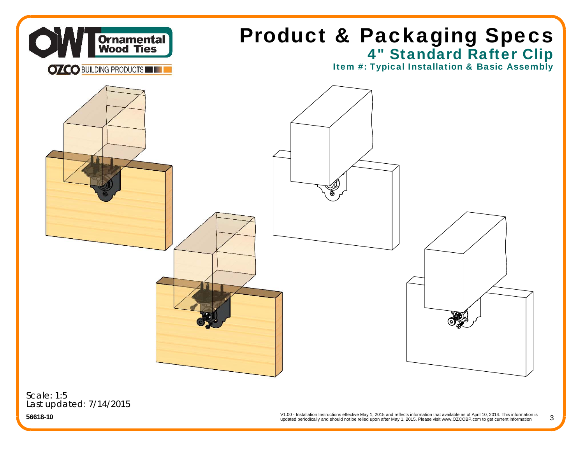

Scale: 1:5Last updated: 7/14/2015

> V1.00 - Installation Instructions effective May 1, 2015 and reflects information that available as of April 10, 2014. This information is updated periodically and should not be relied upon after May 1, 2015. Please visit www.OZCOBP.com to get current information

3

**56618-10**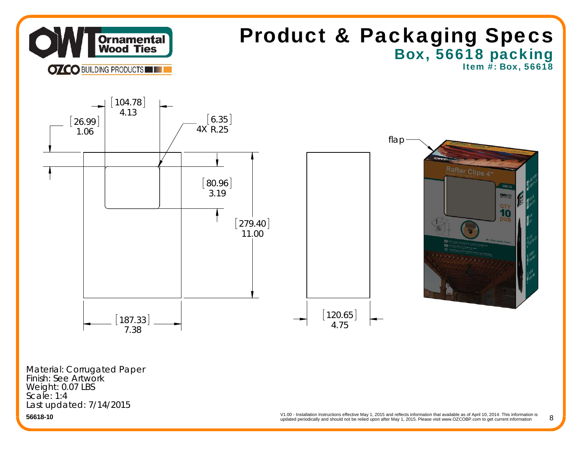

**56618-10**

V1.00 - Installation Instructions effective May 1, 2015 and reflects information that available as of April 10, 2014. This information is updated periodically and should not be relied upon after May 1, 2015. Please visit www.OZCOBP.com to get current information 8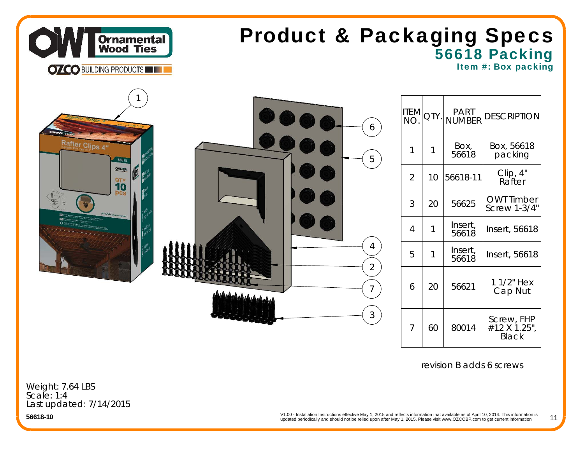

# 56618 Packing Product & Packaging Specs

Item #: Box packing

|                          | 6                                | <b>ITEM</b> QTY. |    | PART<br>NUMBER   | <b>DESCRIPTION</b>                         |
|--------------------------|----------------------------------|------------------|----|------------------|--------------------------------------------|
| Rafter Clips 4"<br>56618 | 5                                | $\overline{1}$   |    | Box,<br>56618    | Box, 56618<br>packing                      |
| OWTER<br>$\frac{97}{10}$ |                                  | $\overline{2}$   | 10 | 56618-11         | Clip, 4"<br>Rafter                         |
| (RC-LS-4) Limited Sunset |                                  | 3                | 20 | 56625            | <b>OWT Timber</b><br><b>Screw 1-3/4"</b>   |
|                          |                                  | $\overline{4}$   |    | Insert,<br>56618 | Insert, 56618                              |
|                          | $\overline{4}$<br>$\overline{2}$ | 5                |    | Insert,<br>56618 | Insert, 56618                              |
|                          | ممهمهمهمهمهمه                    | 6                | 20 | 56621            | 1 1/2" Hex<br>Cap Nut                      |
|                          | $\mathfrak{Z}$                   | $\overline{7}$   | 60 | 80014            | Screw, FHP<br>#12 X 1.25",<br><b>Black</b> |

revision B adds 6 screws

Weight: 7.64 LBS Scale: 1:4Last updated: 7/14/2015

**56618-10**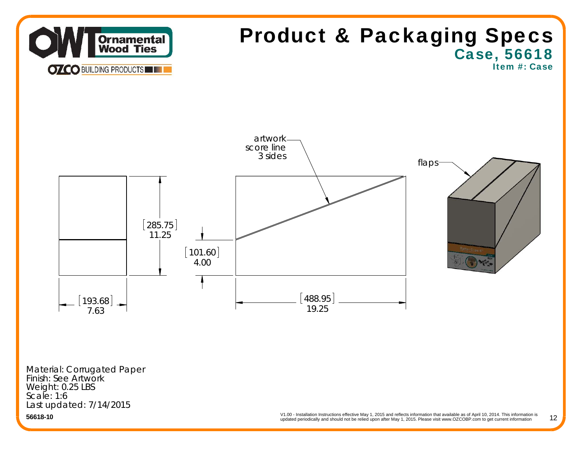

12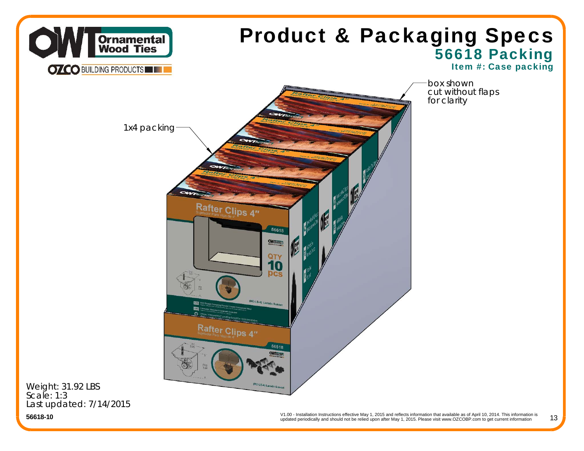

Last updated: 7/14/2015